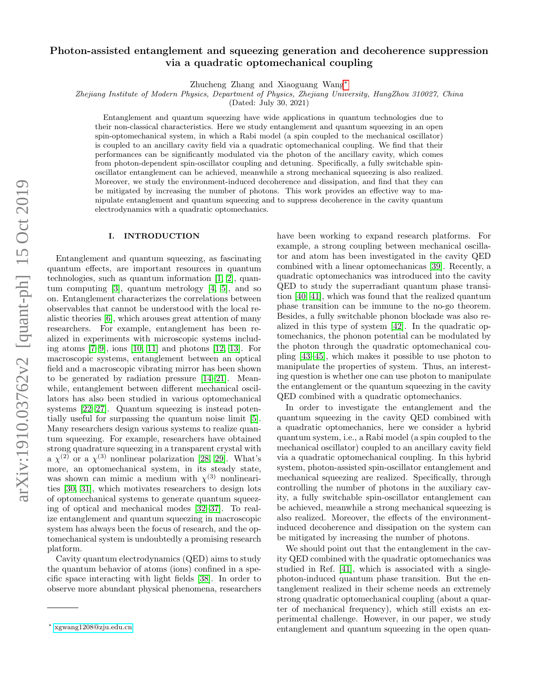# Photon-assisted entanglement and squeezing generation and decoherence suppression via a quadratic optomechanical coupling

Zhucheng Zhang and Xiaoguang Wang[∗](#page-0-0)

Zhejiang Institute of Modern Physics, Department of Physics, Zhejiang University, HangZhou 310027, China

(Dated: July 30, 2021)

Entanglement and quantum squeezing have wide applications in quantum technologies due to their non-classical characteristics. Here we study entanglement and quantum squeezing in an open spin-optomechanical system, in which a Rabi model (a spin coupled to the mechanical oscillator) is coupled to an ancillary cavity field via a quadratic optomechanical coupling. We find that their performances can be significantly modulated via the photon of the ancillary cavity, which comes from photon-dependent spin-oscillator coupling and detuning. Specifically, a fully switchable spinoscillator entanglement can be achieved, meanwhile a strong mechanical squeezing is also realized. Moreover, we study the environment-induced decoherence and dissipation, and find that they can be mitigated by increasing the number of photons. This work provides an effective way to manipulate entanglement and quantum squeezing and to suppress decoherence in the cavity quantum electrodynamics with a quadratic optomechanics.

# I. INTRODUCTION

Entanglement and quantum squeezing, as fascinating quantum effects, are important resources in quantum technologies, such as quantum information [\[1,](#page-6-0) [2\]](#page-6-1), quantum computing [\[3\]](#page-6-2), quantum metrology [\[4,](#page-6-3) [5\]](#page-6-4), and so on. Entanglement characterizes the correlations between observables that cannot be understood with the local realistic theories [\[6\]](#page-6-5), which arouses great attention of many researchers. For example, entanglement has been realized in experiments with microscopic systems including atoms [\[7–](#page-6-6)[9\]](#page-6-7), ions [\[10,](#page-6-8) [11\]](#page-6-9) and photons [\[12,](#page-6-10) [13\]](#page-6-11). For macroscopic systems, entanglement between an optical field and a macroscopic vibrating mirror has been shown to be generated by radiation pressure [\[14](#page-6-12)[–21\]](#page-6-13). Meanwhile, entanglement between different mechanical oscillators has also been studied in various optomechanical systems [\[22–](#page-6-14)[27\]](#page-6-15). Quantum squeezing is instead potentially useful for surpassing the quantum noise limit [\[5\]](#page-6-4). Many researchers design various systems to realize quantum squeezing. For example, researchers have obtained strong quadrature squeezing in a transparent crystal with a  $\chi^{(2)}$  or a  $\chi^{(3)}$  nonlinear polarization [\[28,](#page-7-0) [29\]](#page-7-1). What's more, an optomechanical system, in its steady state, was shown can mimic a medium with  $\chi^{(3)}$  nonlinearities [\[30,](#page-7-2) [31\]](#page-7-3), which motivates researchers to design lots of optomechanical systems to generate quantum squeezing of optical and mechanical modes [\[32–](#page-7-4)[37\]](#page-7-5). To realize entanglement and quantum squeezing in macroscopic system has always been the focus of research, and the optomechanical system is undoubtedly a promising research platform.

Cavity quantum electrodynamics (QED) aims to study the quantum behavior of atoms (ions) confined in a specific space interacting with light fields [\[38\]](#page-7-6). In order to observe more abundant physical phenomena, researchers have been working to expand research platforms. For example, a strong coupling between mechanical oscillator and atom has been investigated in the cavity QED combined with a linear optomechanicas [\[39\]](#page-7-7). Recently, a quadratic optomechanics was introduced into the cavity QED to study the superradiant quantum phase transition [\[40,](#page-7-8) [41\]](#page-7-9), which was found that the realized quantum phase transition can be immune to the no-go theorem. Besides, a fully switchable phonon blockade was also realized in this type of system [\[42\]](#page-7-10). In the quadratic optomechanics, the phonon potential can be modulated by the photon through the quadratic optomechanical coupling [\[43](#page-7-11)[–45\]](#page-7-12), which makes it possible to use photon to manipulate the properties of system. Thus, an interesting question is whether one can use photon to manipulate the entanglement or the quantum squeezing in the cavity QED combined with a quadratic optomechanics.

In order to investigate the entanglement and the quantum squeezing in the cavity QED combined with a quadratic optomechanics, here we consider a hybrid quantum system, i.e., a Rabi model (a spin coupled to the mechanical oscillator) coupled to an ancillary cavity field via a quadratic optomechanical coupling. In this hybrid system, photon-assisted spin-oscillator entanglement and mechanical squeezing are realized. Specifically, through controlling the number of photons in the auxiliary cavity, a fully switchable spin-oscillator entanglement can be achieved, meanwhile a strong mechanical squeezing is also realized. Moreover, the effects of the environmentinduced decoherence and dissipation on the system can be mitigated by increasing the number of photons.

We should point out that the entanglement in the cavity QED combined with the quadratic optomechanics was studied in Ref. [\[41\]](#page-7-9), which is associated with a singlephoton-induced quantum phase transition. But the entanglement realized in their scheme needs an extremely strong quadratic optomechanical coupling (about a quarter of mechanical frequency), which still exists an experimental challenge. However, in our paper, we study entanglement and quantum squeezing in the open quan-

<span id="page-0-0"></span><sup>∗</sup> [xgwang1208@zju.edu.cn](mailto:xgwang1208@zju.edu.cn)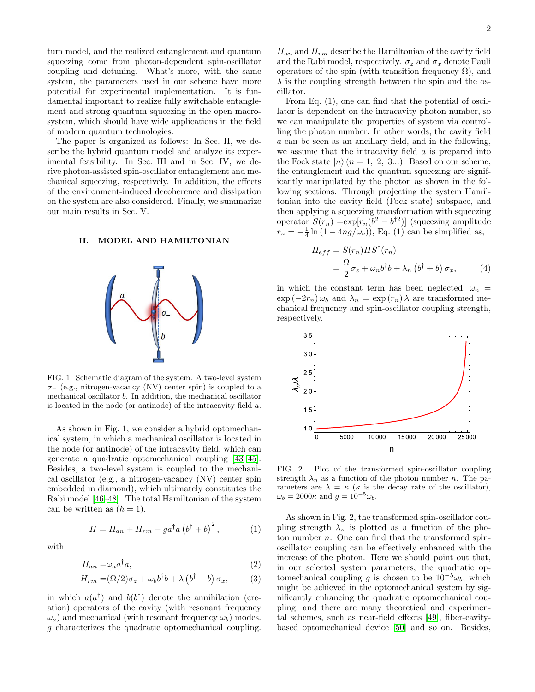tum model, and the realized entanglement and quantum squeezing come from photon-dependent spin-oscillator coupling and detuning. What's more, with the same system, the parameters used in our scheme have more potential for experimental implementation. It is fundamental important to realize fully switchable entanglement and strong quantum squeezing in the open macrosystem, which should have wide applications in the field of modern quantum technologies.

The paper is organized as follows: In Sec. II, we describe the hybrid quantum model and analyze its experimental feasibility. In Sec. III and in Sec. IV, we derive photon-assisted spin-oscillator entanglement and mechanical squeezing, respectively. In addition, the effects of the environment-induced decoherence and dissipation on the system are also considered. Finally, we summarize our main results in Sec. V.

# II. MODEL AND HAMILTONIAN



FIG. 1. Schematic diagram of the system. A two-level system  $\sigma_{-}$  (e.g., nitrogen-vacancy (NV) center spin) is coupled to a mechanical oscillator b. In addition, the mechanical oscillator is located in the node (or antinode) of the intracavity field a.

As shown in Fig. 1, we consider a hybrid optomechanical system, in which a mechanical oscillator is located in the node (or antinode) of the intracavity field, which can generate a quadratic optomechanical coupling [\[43–](#page-7-11)[45\]](#page-7-12). Besides, a two-level system is coupled to the mechanical oscillator (e.g., a nitrogen-vacancy (NV) center spin embedded in diamond), which ultimately constitutes the Rabi model [\[46–](#page-7-13)[48\]](#page-7-14). The total Hamiltonian of the system can be written as  $(\hbar = 1)$ ,

 $H = H_{an} + H_{rm} - g a^\dagger a \left(b^\dagger + b\right)^2$ 

with

$$
H_{an} = \omega_a a^\dagger a,\tag{2}
$$

 $(1)$ 

$$
H_{rm} = (\Omega/2)\sigma_z + \omega_b b^{\dagger} b + \lambda (b^{\dagger} + b) \sigma_x, \qquad (3)
$$

in which  $a(a^{\dagger})$  and  $b(b^{\dagger})$  denote the annihilation (creation) operators of the cavity (with resonant frequency  $\omega_a$ ) and mechanical (with resonant frequency  $\omega_b$ ) modes. g characterizes the quadratic optomechanical coupling.

 $H_{an}$  and  $H_{rm}$  describe the Hamiltonian of the cavity field and the Rabi model, respectively.  $\sigma_z$  and  $\sigma_x$  denote Pauli operators of the spin (with transition frequency  $\Omega$ ), and  $\lambda$  is the coupling strength between the spin and the oscillator.

From Eq.  $(1)$ , one can find that the potential of oscillator is dependent on the intracavity photon number, so we can manipulate the properties of system via controlling the photon number. In other words, the cavity field a can be seen as an ancillary field, and in the following, we assume that the intracavity field  $\alpha$  is prepared into the Fock state  $|n\rangle$   $(n = 1, 2, 3...)$ . Based on our scheme, the entanglement and the quantum squeezing are significantly manipulated by the photon as shown in the following sections. Through projecting the system Hamiltonian into the cavity field (Fock state) subspace, and then applying a squeezing transformation with squeezing operator  $S(r_n) = \exp[r_n(b^2 - b^{\dagger 2})]$  (squeezing amplitude  $r_n = -\frac{1}{4} \ln(1 - 4ng/\omega_b)$ , Eq. (1) can be simplified as,

$$
H_{eff} = S(r_n)HS^{\dagger}(r_n)
$$
  
= 
$$
\frac{\Omega}{2}\sigma_z + \omega_n b^{\dagger}b + \lambda_n (b^{\dagger} + b) \sigma_x,
$$
 (4)

in which the constant term has been neglected,  $\omega_n$  =  $\exp(-2r_n)\omega_b$  and  $\lambda_n = \exp(r_n)\lambda$  are transformed mechanical frequency and spin-oscillator coupling strength, respectively.



FIG. 2. Plot of the transformed spin-oscillator coupling strength  $\lambda_n$  as a function of the photon number n. The parameters are  $\lambda = \kappa$  ( $\kappa$  is the decay rate of the oscillator),  $\omega_b = 2000\kappa$  and  $g = 10^{-5}\omega_b$ .

As shown in Fig. 2, the transformed spin-oscillator coupling strength  $\lambda_n$  is plotted as a function of the photon number  $n$ . One can find that the transformed spinoscillator coupling can be effectively enhanced with the increase of the photon. Here we should point out that, in our selected system parameters, the quadratic optomechanical coupling q is chosen to be  $10^{-5}\omega_b$ , which might be achieved in the optomechanical system by significantly enhancing the quadratic optomechanical coupling, and there are many theoretical and experimental schemes, such as near-field effects [\[49\]](#page-7-15), fiber-cavitybased optomechanical device [\[50\]](#page-7-16) and so on. Besides,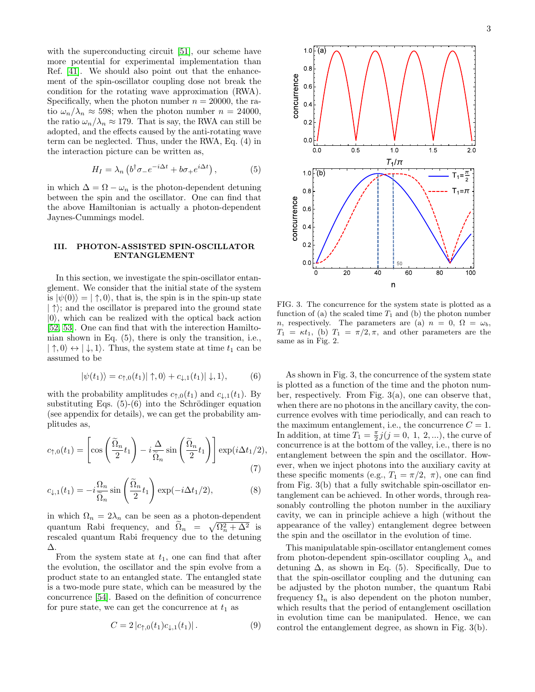with the superconducting circuit [\[51\]](#page-7-17), our scheme have more potential for experimental implementation than Ref. [\[41\]](#page-7-9). We should also point out that the enhancement of the spin-oscillator coupling dose not break the condition for the rotating wave approximation (RWA). Specifically, when the photon number  $n = 20000$ , the ratio  $\omega_n/\lambda_n \approx 598$ ; when the photon number  $n = 24000$ , the ratio  $\omega_n/\lambda_n \approx 179$ . That is say, the RWA can still be adopted, and the effects caused by the anti-rotating wave term can be neglected. Thus, under the RWA, Eq. (4) in the interaction picture can be written as,

$$
H_I = \lambda_n \left( b^\dagger \sigma_- e^{-i\Delta t} + b \sigma_+ e^{i\Delta t} \right),\tag{5}
$$

in which  $\Delta = \Omega - \omega_n$  is the photon-dependent detuning between the spin and the oscillator. One can find that the above Hamiltonian is actually a photon-dependent Jaynes-Cummings model.

### III. PHOTON-ASSISTED SPIN-OSCILLATOR ENTANGLEMENT

In this section, we investigate the spin-oscillator entanglement. We consider that the initial state of the system is  $|\psi(0)\rangle = |\uparrow, 0\rangle$ , that is, the spin is in the spin-up state  $|\uparrow\rangle$ ; and the oscillator is prepared into the ground state  $|0\rangle$ , which can be realized with the optical back action [\[52,](#page-7-18) [53\]](#page-7-19). One can find that with the interection Hamiltonian shown in Eq. (5), there is only the transition, i.e.,  $|\uparrow, 0\rangle \leftrightarrow |\downarrow, 1\rangle$ . Thus, the system state at time  $t_1$  can be assumed to be

$$
|\psi(t_1)\rangle = c_{\uparrow,0}(t_1)|\uparrow,0\rangle + c_{\downarrow,1}(t_1)|\downarrow,1\rangle,\tag{6}
$$

with the probability amplitudes  $c_{\uparrow,0}(t_1)$  and  $c_{\downarrow,1}(t_1)$ . By substituting Eqs.  $(5)-(6)$  into the Schrödinger equation (see appendix for details), we can get the probability amplitudes as,

$$
c_{\uparrow,0}(t_1) = \left[\cos\left(\frac{\widetilde{\Omega}_n}{2}t_1\right) - i\frac{\Delta}{\widetilde{\Omega}_n}\sin\left(\frac{\widetilde{\Omega}_n}{2}t_1\right)\right] \exp(i\Delta t_1/2),\tag{7}
$$

$$
c_{\downarrow,1}(t_1) = -i\frac{\Omega_n}{\widetilde{\Omega}_n} \sin\left(\frac{\widetilde{\Omega}_n}{2}t_1\right) \exp(-i\Delta t_1/2),\tag{8}
$$

in which  $\Omega_n = 2\lambda_n$  can be seen as a photon-dependent quantum Rabi frequency, and  $\widetilde{\Omega}_n = \sqrt{\Omega_n^2 + \Delta^2}$  is rescaled quantum Rabi frequency due to the detuning ∆.

From the system state at  $t_1$ , one can find that after the evolution, the oscillator and the spin evolve from a product state to an entangled state. The entangled state is a two-mode pure state, which can be measured by the concurrence [\[54\]](#page-7-20). Based on the definition of concurrence for pure state, we can get the concurrence at  $t_1$  as

$$
C = 2 |c_{\uparrow,0}(t_1)c_{\downarrow,1}(t_1)|. \tag{9}
$$



FIG. 3. The concurrence for the system state is plotted as a function of (a) the scaled time  $T_1$  and (b) the photon number n, respectively. The parameters are (a)  $n = 0$ ,  $\Omega = \omega_b$ ,  $T_1 = \kappa t_1$ , (b)  $T_1 = \pi/2, \pi$ , and other parameters are the same as in Fig. 2.

As shown in Fig. 3, the concurrence of the system state is plotted as a function of the time and the photon number, respectively. From Fig. 3(a), one can observe that, when there are no photons in the ancillary cavity, the concurrence evolves with time periodically, and can reach to the maximum entanglement, i.e., the concurrence  $C = 1$ . In addition, at time  $T_1 = \frac{\pi}{2} j(j = 0, 1, 2, ...),$  the curve of concurrence is at the bottom of the valley, i.e., there is no entanglement between the spin and the oscillator. However, when we inject photons into the auxiliary cavity at these specific moments (e.g.,  $T_1 = \pi/2$ ,  $\pi$ ), one can find from Fig. 3(b) that a fully switchable spin-oscillator entanglement can be achieved. In other words, through reasonably controlling the photon number in the auxiliary cavity, we can in principle achieve a high (without the appearance of the valley) entanglement degree between the spin and the oscillator in the evolution of time.

This manipulatable spin-oscillator entanglement comes from photon-dependent spin-oscillator coupling  $\lambda_n$  and detuning  $\Delta$ , as shown in Eq. (5). Specifically, Due to that the spin-oscillator coupling and the dutuning can be adjusted by the photon number, the quantum Rabi frequency  $\Omega_n$  is also dependent on the photon number, which results that the period of entanglement oscillation in evolution time can be manipulated. Hence, we can control the entanglement degree, as shown in Fig. 3(b).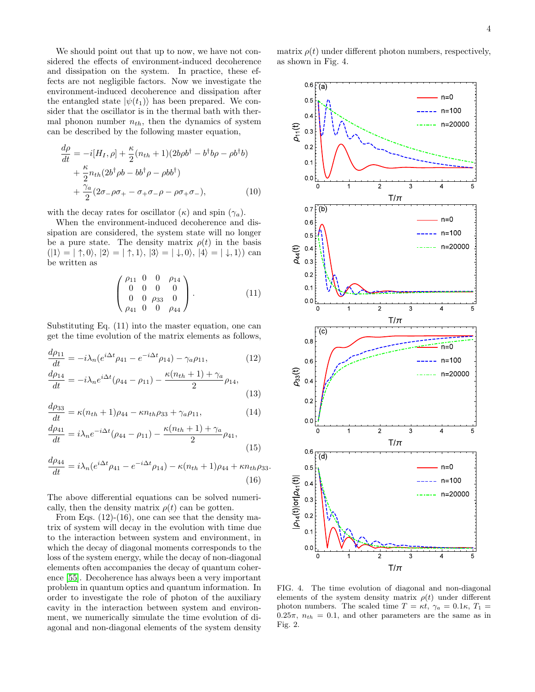We should point out that up to now, we have not considered the effects of environment-induced decoherence and dissipation on the system. In practice, these effects are not negligible factors. Now we investigate the environment-induced decoherence and dissipation after the entangled state  $|\psi(t_1)\rangle$  has been prepared. We consider that the oscillator is in the thermal bath with thermal phonon number  $n_{th}$ , then the dynamics of system can be described by the following master equation,

$$
\frac{d\rho}{dt} = -i[H_I, \rho] + \frac{\kappa}{2}(n_{th} + 1)(2b\rho b^{\dagger} - b^{\dagger} b\rho - \rho b^{\dagger} b) \n+ \frac{\kappa}{2}n_{th}(2b^{\dagger}\rho b - bb^{\dagger}\rho - \rho bb^{\dagger}) \n+ \frac{\gamma_a}{2}(2\sigma_{-}\rho\sigma_{+} - \sigma_{+}\sigma_{-}\rho - \rho\sigma_{+}\sigma_{-}),
$$
\n(10)

with the decay rates for oscillator  $(\kappa)$  and spin  $(\gamma_a)$ .

When the environment-induced decoherence and dissipation are considered, the system state will no longer be a pure state. The density matrix  $\rho(t)$  in the basis  $(|1\rangle = |\uparrow, 0\rangle, |2\rangle = |\uparrow, 1\rangle, |3\rangle = |\downarrow, 0\rangle, |4\rangle = |\downarrow, 1\rangle) \text{ can}$ be written as

$$
\begin{pmatrix}\n\rho_{11} & 0 & 0 & \rho_{14} \\
0 & 0 & 0 & 0 \\
0 & 0 & \rho_{33} & 0 \\
\rho_{41} & 0 & 0 & \rho_{44}\n\end{pmatrix}.
$$
\n(11)

Substituting Eq. (11) into the master equation, one can get the time evolution of the matrix elements as follows,

$$
\frac{d\rho_{11}}{dt} = -i\lambda_n(e^{i\Delta t}\rho_{41} - e^{-i\Delta t}\rho_{14}) - \gamma_a \rho_{11},\tag{12}
$$

$$
\frac{d\rho_{14}}{dt} = -i\lambda_n e^{i\Delta t} (\rho_{44} - \rho_{11}) - \frac{\kappa (n_{th} + 1) + \gamma_a}{2} \rho_{14},\tag{13}
$$

$$
\frac{d\rho_{33}}{dt} = \kappa (n_{th} + 1)\rho_{44} - \kappa n_{th}\rho_{33} + \gamma_a \rho_{11},\tag{14}
$$

$$
\frac{d\rho_{41}}{dt} = i\lambda_n e^{-i\Delta t} (\rho_{44} - \rho_{11}) - \frac{\kappa (n_{th} + 1) + \gamma_a}{2} \rho_{41},\tag{15}
$$

$$
\frac{d\rho_{44}}{dt} = i\lambda_n (e^{i\Delta t}\rho_{41} - e^{-i\Delta t}\rho_{14}) - \kappa (n_{th} + 1)\rho_{44} + \kappa n_{th}\rho_{33}.
$$
\n(16)

The above differential equations can be solved numerically, then the density matrix  $\rho(t)$  can be gotten.

From Eqs. (12)-(16), one can see that the density matrix of system will decay in the evolution with time due to the interaction between system and environment, in which the decay of diagonal moments corresponds to the loss of the system energy, while the decay of non-diagonal elements often accompanies the decay of quantum coherence [\[55\]](#page-7-21). Decoherence has always been a very important problem in quantum optics and quantum information. In order to investigate the role of photon of the auxiliary cavity in the interaction between system and environment, we numerically simulate the time evolution of diagonal and non-diagonal elements of the system density





FIG. 4. The time evolution of diagonal and non-diagonal elements of the system density matrix  $\rho(t)$  under different photon numbers. The scaled time  $T = \kappa t$ ,  $\gamma_a = 0.1\kappa$ ,  $T_1 =$  $0.25\pi$ ,  $n_{th} = 0.1$ , and other parameters are the same as in Fig. 2.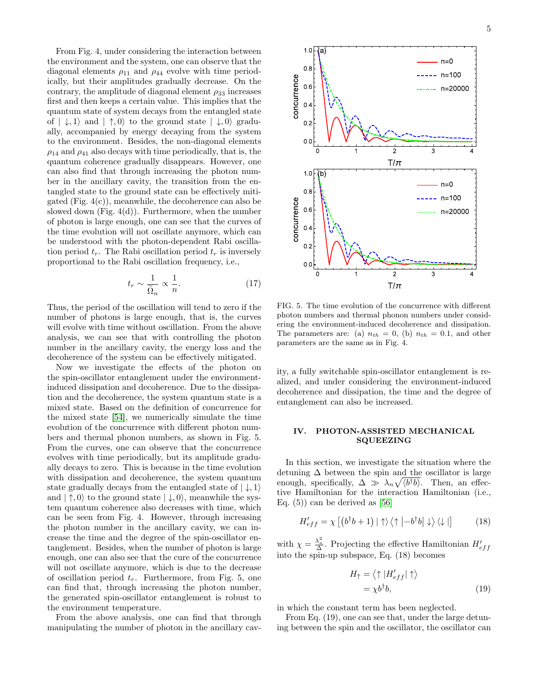From Fig. 4, under considering the interaction between the environment and the system, one can observe that the diagonal elements  $\rho_{11}$  and  $\rho_{44}$  evolve with time periodically, but their amplitudes gradually decrease. On the contrary, the amplitude of diagonal element  $\rho_{33}$  increases first and then keeps a certain value. This implies that the quantum state of system decays from the entangled state of  $|\downarrow, 1\rangle$  and  $|\uparrow, 0\rangle$  to the ground state  $|\downarrow, 0\rangle$  gradually, accompanied by energy decaying from the system to the environment. Besides, the non-diagonal elements  $\rho_{14}$  and  $\rho_{41}$  also decays with time periodically, that is, the quantum coherence gradually disappears. However, one can also find that through increasing the photon number in the ancillary cavity, the transition from the entangled state to the ground state can be effectively mitigated (Fig. 4(c)), meanwhile, the decoherence can also be slowed down  $(Fig. 4(d))$ . Furthermore, when the number of photon is large enough, one can see that the curves of the time evolution will not oscillate anymore, which can be understood with the photon-dependent Rabi oscillation period  $t_r$ . The Rabi oscillation period  $t_r$  is inversely proportional to the Rabi oscillation frequency, i.e.,

$$
t_r \sim \frac{1}{\widetilde{\Omega}_n} \propto \frac{1}{n}.\tag{17}
$$

Thus, the period of the oscillation will tend to zero if the number of photons is large enough, that is, the curves will evolve with time without oscillation. From the above analysis, we can see that with controlling the photon number in the ancillary cavity, the energy loss and the decoherence of the system can be effectively mitigated.

Now we investigate the effects of the photon on the spin-oscillator entanglement under the environmentinduced dissipation and decoherence. Due to the dissipation and the decoherence, the system quantum state is a mixed state. Based on the definition of concurrence for the mixed state [\[54\]](#page-7-20), we numerically simulate the time evolution of the concurrence with different photon numbers and thermal phonon numbers, as shown in Fig. 5. From the curves, one can observe that the concurrence evolves with time periodically, but its amplitude gradually decays to zero. This is because in the time evolution with dissipation and decoherence, the system quantum state gradually decays from the entangled state of  $|\downarrow, 1\rangle$ and  $|\uparrow, 0\rangle$  to the ground state  $|\downarrow, 0\rangle$ , meanwhile the system quantum coherence also decreases with time, which can be seen from Fig. 4. However, through increasing the photon number in the ancillary cavity, we can increase the time and the degree of the spin-oscillator entanglement. Besides, when the number of photon is large enough, one can also see that the cure of the concurrence will not oscillate anymore, which is due to the decrease of oscillation period  $t_r$ . Furthermore, from Fig. 5, one can find that, through increasing the photon number, the generated spin-oscillator entanglement is robust to the environment temperature.

From the above analysis, one can find that through manipulating the number of photon in the ancillary cav-



FIG. 5. The time evolution of the concurrence with different photon numbers and thermal phonon numbers under considering the environment-induced decoherence and dissipation. The parameters are: (a)  $n_{th} = 0$ , (b)  $n_{th} = 0.1$ , and other parameters are the same as in Fig. 4.

ity, a fully switchable spin-oscillator entanglement is realized, and under considering the environment-induced decoherence and dissipation, the time and the degree of entanglement can also be increased.

## IV. PHOTON-ASSISTED MECHANICAL SQUEEZING

In this section, we investigate the situation where the detuning  $\Delta$  between the spin and the oscillator is large enough, specifically,  $\Delta \gg \lambda_n \sqrt{\langle b^\dagger b \rangle}$ . Then, an effective Hamiltonian for the interaction Hamiltonian (i.e., Eq.  $(5)$  can be derived as [\[56\]](#page-7-22)

$$
H'_{eff} = \chi \left[ \left( b^{\dagger} b + 1 \right) \mid \uparrow \rangle \left\langle \uparrow \left| -b^{\dagger} b \right| \downarrow \right\rangle \left\langle \downarrow \left| \right] \right] \tag{18}
$$

with  $\chi = \frac{\lambda_n^2}{\Delta}$ . Projecting the effective Hamiltonian  $H'_{eff}$ into the spin-up subspace, Eq. (18) becomes

$$
H_{\uparrow} = \langle \uparrow | H'_{eff} | \uparrow \rangle
$$
  
=  $\chi b^{\dagger} b,$  (19)

in which the constant term has been neglected.

From Eq. (19), one can see that, under the large detuning between the spin and the oscillator, the oscillator can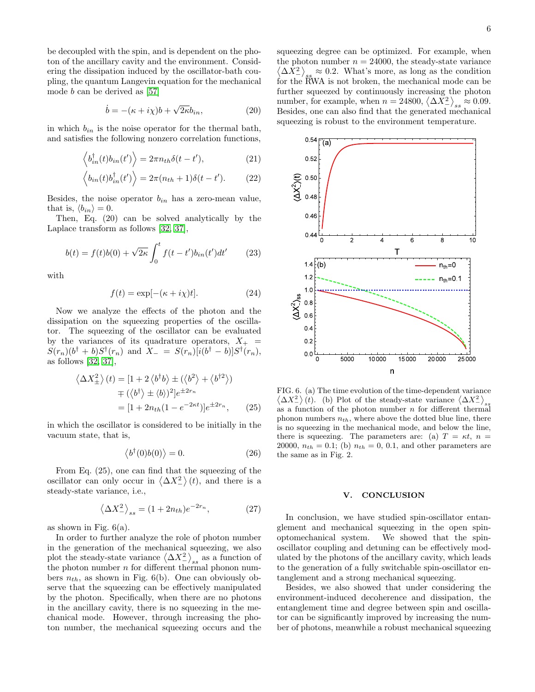be decoupled with the spin, and is dependent on the photon of the ancillary cavity and the environment. Considering the dissipation induced by the oscillator-bath coupling, the quantum Langevin equation for the mechanical mode b can be derived as [\[57\]](#page-7-23)

$$
\dot{b} = -(\kappa + i\chi)b + \sqrt{2\kappa}b_{in},\tag{20}
$$

in which  $b_{in}$  is the noise operator for the thermal bath, and satisfies the following nonzero correlation functions,

$$
\langle b_{in}^{\dagger}(t)b_{in}(t')\rangle = 2\pi n_{th}\delta(t-t'),\tag{21}
$$

$$
\langle b_{in}(t)b_{in}^{\dagger}(t')\rangle = 2\pi (n_{th} + 1)\delta(t - t'). \tag{22}
$$

Besides, the noise operator  $b_{in}$  has a zero-mean value, that is,  $\langle b_{in} \rangle = 0$ .

Then, Eq. (20) can be solved analytically by the Laplace transform as follows [\[32,](#page-7-4) [37\]](#page-7-5),

$$
b(t) = f(t)b(0) + \sqrt{2\kappa} \int_0^t f(t - t')b_{in}(t')dt' \qquad (23)
$$

with

$$
f(t) = \exp[-(\kappa + i\chi)t].
$$
 (24)

Now we analyze the effects of the photon and the dissipation on the squeezing properties of the oscillator. The squeezing of the oscillator can be evaluated by the variances of its quadrature operators,  $X_+$  =  $S(r_n)(b^{\dagger}+b)S^{\dagger}(r_n)$  and  $X_{-} = S(r_n)[i(b^{\dagger}-b)]S^{\dagger}(r_n),$ as follows [\[32,](#page-7-4) [37\]](#page-7-5),

$$
\langle \Delta X_{\pm}^2 \rangle (t) = [1 + 2 \langle b^{\dagger} b \rangle \pm (\langle b^2 \rangle + \langle b^{\dagger 2} \rangle) \n= (\langle b^{\dagger} \rangle \pm \langle b \rangle)^2] e^{\pm 2r_n} \n= [1 + 2n_{th}(1 - e^{-2\kappa t})] e^{\pm 2r_n}, \qquad (25)
$$

in which the oscillator is considered to be initially in the vacuum state, that is,

$$
\langle b^{\dagger}(0)b(0)\rangle = 0. \tag{26}
$$

From Eq. (25), one can find that the squeezing of the oscillator can only occur in  $\langle \Delta X_{-}^2 \rangle(t)$ , and there is a steady-state variance, i.e.,

$$
\left\langle \Delta X_{-}^{2}\right\rangle _{ss}=(1+2n_{th})e^{-2r_{n}},\tag{27}
$$

as shown in Fig.  $6(a)$ .

In order to further analyze the role of photon number in the generation of the mechanical squeezing, we also plot the steady-state variance  $\langle \Delta X_{-}^2 \rangle_{ss}$  as a function of the photon number  $n$  for different thermal phonon numbers  $n_{th}$ , as shown in Fig. 6(b). One can obviously observe that the squeezing can be effectively manipulated by the photon. Specifically, when there are no photons in the ancillary cavity, there is no squeezing in the mechanical mode. However, through increasing the photon number, the mechanical squeezing occurs and the squeezing degree can be optimized. For example, when the photon number  $n = 24000$ , the steady-state variance  $\langle \Delta X_{-}^2 \rangle_{ss}$  $\approx 0.2$ . What's more, as long as the condition for the RWA is not broken, the mechanical mode can be further squeezed by continuously increasing the photon number, for example, when  $n = 24800, \langle \Delta X^2 \rangle_{ss} \approx 0.09$ . Besides, one can also find that the generated mechanical squeezing is robust to the environment temperature.



FIG. 6. (a) The time evolution of the time-dependent variance  $\langle \Delta X_{-}^{2} \rangle(t)$ . (b) Plot of the steady-state variance  $\langle \Delta X_{-}^{2} \rangle$  $\sum_{i=1}^{N}$  (e). (b) T for or the secary state variance  $\sum_{i=1}^{N}$  (e) phonon numbers  $n_{th}$ , where above the dotted blue line, there is no squeezing in the mechanical mode, and below the line, there is squeezing. The parameters are: (a)  $T = \kappa t$ ,  $n =$ 20000,  $n_{th} = 0.1$ ; (b)  $n_{th} = 0$ , 0.1, and other parameters are the same as in Fig. 2.

#### V. CONCLUSION

In conclusion, we have studied spin-oscillator entanglement and mechanical squeezing in the open spinoptomechanical system. We showed that the spinoscillator coupling and detuning can be effectively modulated by the photons of the ancillary cavity, which leads to the generation of a fully switchable spin-oscillator entanglement and a strong mechanical squeezing.

Besides, we also showed that under considering the environment-induced decoherence and dissipation, the entanglement time and degree between spin and oscillator can be significantly improved by increasing the number of photons, meanwhile a robust mechanical squeezing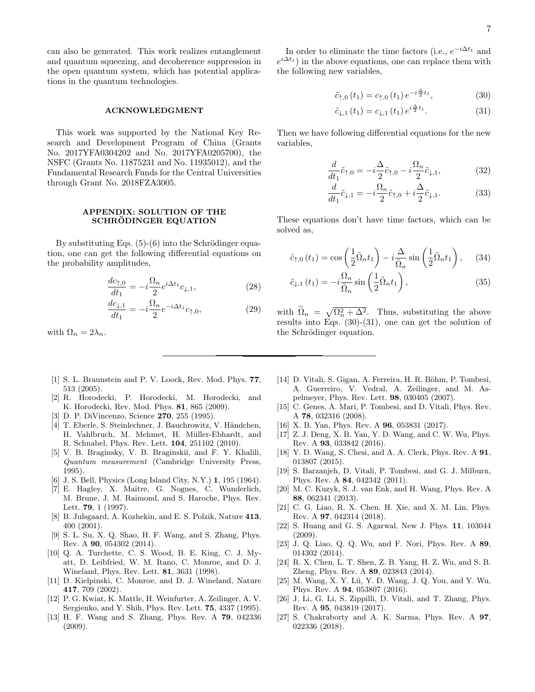can also be generated. This work realizes entanglement and quantum squeezing, and decoherence suppression in the open quantum system, which has potential applications in the quantum technologies.

### ACKNOWLEDGMENT

This work was supported by the National Key Research and Development Program of China (Grants No. 2017YFA0304202 and No. 2017YFA0205700), the NSFC (Grants No. 11875231 and No. 11935012), and the Fundamental Research Funds for the Central Universities through Grant No. 2018FZA3005.

## APPENDIX: SOLUTION OF THE SCHRÖDINGER EQUATION

By substituting Eqs.  $(5)-(6)$  into the Schrödinger equation, one can get the following differential equations on the probability amplitudes,

$$
\frac{dc_{\uparrow,0}}{dt_1} = -i\frac{\Omega_n}{2}e^{i\Delta t_1}c_{\downarrow,1},\tag{28}
$$

$$
\frac{dc_{\downarrow,1}}{dt_1} = -i\frac{\Omega_n}{2}e^{-i\Delta t_1}c_{\uparrow,0},\tag{29}
$$

with  $\Omega_n = 2\lambda_n$ .

- <span id="page-6-0"></span>[1] S. L. Braunstein and P. V. Loock, Rev. Mod. Phys. 77, 513 (2005).
- <span id="page-6-1"></span>[2] R. Horodecki, P. Horodecki, M. Horodecki, and K. Horodecki, Rev. Mod. Phys. 81, 865 (2009).
- <span id="page-6-2"></span>[3] D. P. DiVincenzo, Science 270, 255 (1995).
- <span id="page-6-3"></span>[4] T. Eberle, S. Steinlechner, J. Bauchrowitz, V. Händchen, H. Vahlbruch, M. Mehmet, H. Müller-Ebhardt, and R. Schnabel, Phys. Rev. Lett. 104, 251102 (2010).
- <span id="page-6-4"></span>[5] V. B. Braginsky, V. B. Braginskiĭ, and F. Y. Khalili, Quantum measurement (Cambridge University Press, 1995).
- <span id="page-6-5"></span>[6] J. S. Bell, Physics (Long Island City, N.Y.) 1, 195 (1964).
- <span id="page-6-6"></span>[7] E. Hagley, X. Maˆıtre, G. Nogues, C. Wunderlich, M. Brune, J. M. Raimond, and S. Haroche, Phys. Rev. Lett. 79, 1 (1997).
- [8] B. Julsgaard, A. Kozhekin, and E. S. Polzik, Nature 413, 400 (2001).
- <span id="page-6-7"></span>[9] S. L. Su, X. Q. Shao, H. F. Wang, and S. Zhang, Phys. Rev. A 90, 054302 (2014).
- <span id="page-6-8"></span>[10] Q. A. Turchette, C. S. Wood, B. E. King, C. J. Myatt, D. Leibfried, W. M. Itano, C. Monroe, and D. J. Wineland, Phys. Rev. Lett. 81, 3631 (1998).
- <span id="page-6-9"></span>[11] D. Kielpinski, C. Monroe, and D. J. Wineland, Nature 417, 709 (2002).
- <span id="page-6-10"></span>[12] P. G. Kwiat, K. Mattle, H. Weinfurter, A. Zeilinger, A. V. Sergienko, and Y. Shih, Phys. Rev. Lett. 75, 4337 (1995).
- <span id="page-6-11"></span>[13] H. F. Wang and S. Zhang, Phys. Rev. A 79, 042336 (2009).

In order to eliminate the time factors (i.e.,  $e^{-i\Delta t_1}$  and  $e^{i\Delta t_1}$  in the above equations, one can replace them with the following new variables,

$$
\tilde{c}_{\uparrow,0}(t_1) = c_{\uparrow,0}(t_1) \, e^{-i\frac{\Delta}{2}t_1},\tag{30}
$$

$$
\tilde{c}_{\downarrow,1}(t_1) = c_{\downarrow,1}(t_1) e^{i \frac{\Delta}{2} t_1}.
$$
\n(31)

Then we have following differential equations for the new variables,

$$
\frac{d}{dt_1}\tilde{c}_{\uparrow,0} = -i\frac{\Delta}{2}\tilde{c}_{\uparrow,0} - i\frac{\Omega_n}{2}\tilde{c}_{\downarrow,1},\tag{32}
$$

$$
\frac{d}{dt_1}\tilde{c}_{\downarrow,1} = -i\frac{\Omega_n}{2}\tilde{c}_{\uparrow,0} + i\frac{\Delta}{2}\tilde{c}_{\downarrow,1}.
$$
 (33)

These equations don't have time factors, which can be solved as,

$$
\tilde{c}_{\uparrow,0}(t_1) = \cos\left(\frac{1}{2}\tilde{\Omega}_n t_1\right) - i\frac{\Delta}{\tilde{\Omega}_n}\sin\left(\frac{1}{2}\tilde{\Omega}_n t_1\right),\tag{34}
$$

$$
\tilde{c}_{\downarrow,1}(t_1) = -i\frac{\Omega_n}{\tilde{\Omega}_n} \sin\left(\frac{1}{2}\tilde{\Omega}_n t_1\right),\tag{35}
$$

with  $\tilde{\Omega}_n = \sqrt{\Omega_n^2 + \Delta^2}$ . Thus, substituting the above results into Eqs. (30)-(31), one can get the solution of the Schrödinger equation.

- <span id="page-6-12"></span>[14] D. Vitali, S. Gigan, A. Ferreira, H. R. Böhm, P. Tombesi, A. Guerreiro, V. Vedral, A. Zeilinger, and M. Aspelmeyer, Phys. Rev. Lett. 98, 030405 (2007).
- [15] C. Genes, A. Mari, P. Tombesi, and D. Vitali, Phys. Rev. A 78, 032316 (2008).
- [16] X. B. Yan, Phys. Rev. A **96**, 053831 (2017).
- [17] Z. J. Deng, X. B. Yan, Y. D. Wang, and C. W. Wu, Phys. Rev. A 93, 033842 (2016).
- [18] Y. D. Wang, S. Chesi, and A. A. Clerk, Phys. Rev. A **91**, 013807 (2015).
- [19] S. Barzanjeh, D. Vitali, P. Tombesi, and G. J. Milburn, Phys. Rev. A 84, 042342 (2011).
- [20] M. C. Kuzyk, S. J. van Enk, and H. Wang, Phys. Rev. A 88, 062341 (2013).
- <span id="page-6-13"></span>[21] C. G. Liao, R. X. Chen, H. Xie, and X. M. Lin, Phys. Rev. A 97, 042314 (2018).
- <span id="page-6-14"></span>[22] S. Huang and G. S. Agarwal, New J. Phys. 11, 103044 (2009).
- [23] J. Q. Liao, Q. Q. Wu, and F. Nori, Phys. Rev. A 89, 014302 (2014).
- [24] R. X. Chen, L. T. Shen, Z. B. Yang, H. Z. Wu, and S. B. Zheng, Phys. Rev. A 89, 023843 (2014).
- [25] M. Wang, X. Y. Lü, Y. D. Wang, J. Q. You, and Y. Wu, Phys. Rev. A 94, 053807 (2016).
- [26] J. Li, G. Li, S. Zippilli, D. Vitali, and T. Zhang, Phys. Rev. A 95, 043819 (2017).
- <span id="page-6-15"></span>[27] S. Chakraborty and A. K. Sarma, Phys. Rev. A 97, 022336 (2018).